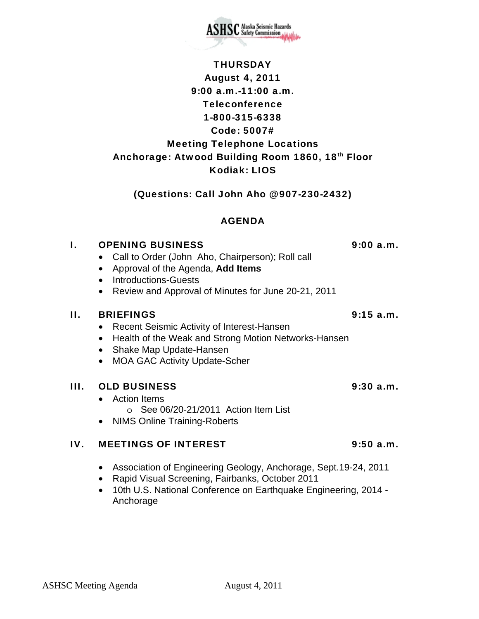

**SHSC** Alaska Seismic Hazards

### (Questions: Call John Aho @ 907-230-2432)

### AGENDA

# I. OPENING BUSINESS 9:00 a.m.

- Call to Order (John Aho, Chairperson); Roll call
- Approval of the Agenda, **Add Items**
- Introductions-Guests
- Review and Approval of Minutes for June 20-21, 2011

## II. BRIEFINGS 9:15 a.m.

- Recent Seismic Activity of Interest-Hansen
- Health of the Weak and Strong Motion Networks-Hansen
- Shake Map Update-Hansen
- MOA GAC Activity Update-Scher

## III. OLD BUSINESS 9:30 a.m.

- Action Items o See 06/20-21/2011 Action Item List
- NIMS Online Training-Roberts

# IV. MEETINGS OF INTEREST 9:50 a.m.

- Association of Engineering Geology, Anchorage, Sept.19-24, 2011
- Rapid Visual Screening, Fairbanks, October 2011
- 10th U.S. National Conference on Earthquake Engineering, 2014 Anchorage